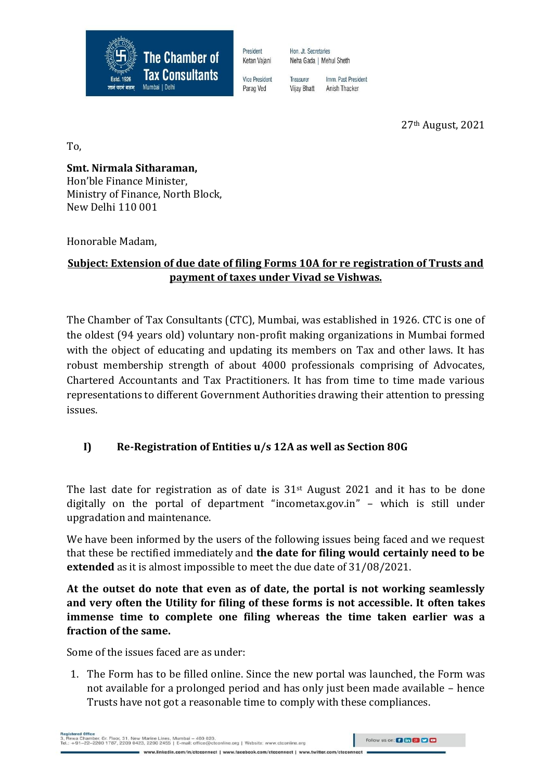

President Ketan Vaiani

Hon Jt Secretaries Neha Gada | Mehul Sheth

Treasurer Imm Past President **Vijay Bhatt** Anish Thacker

27th August, 2021

To,

**Smt. Nirmala Sitharaman,**  Hon'ble Finance Minister, Ministry of Finance, North Block, New Delhi 110 001

Honorable Madam,

## **Subject: Extension of due date of filing Forms 10A for re registration of Trusts and payment of taxes under Vivad se Vishwas.**

The Chamber of Tax Consultants (CTC), Mumbai, was established in 1926. CTC is one of the oldest (94 years old) voluntary non-profit making organizations in Mumbai formed with the object of educating and updating its members on Tax and other laws. It has robust membership strength of about 4000 professionals comprising of Advocates, Chartered Accountants and Tax Practitioners. It has from time to time made various representations to different Government Authorities drawing their attention to pressing issues.

# **I) Re-Registration of Entities u/s 12A as well as Section 80G**

The last date for registration as of date is  $31<sup>st</sup>$  August 2021 and it has to be done digitally on the portal of department "incometax.gov.in" – which is still under upgradation and maintenance.

We have been informed by the users of the following issues being faced and we request that these be rectified immediately and **the date for filing would certainly need to be extended** as it is almost impossible to meet the due date of 31/08/2021.

**At the outset do note that even as of date, the portal is not working seamlessly and very often the Utility for filing of these forms is not accessible. It often takes immense time to complete one filing whereas the time taken earlier was a fraction of the same.**

Some of the issues faced are as under:

1. The Form has to be filled online. Since the new portal was launched, the Form was not available for a prolonged period and has only just been made available – hence Trusts have not got a reasonable time to comply with these compliances.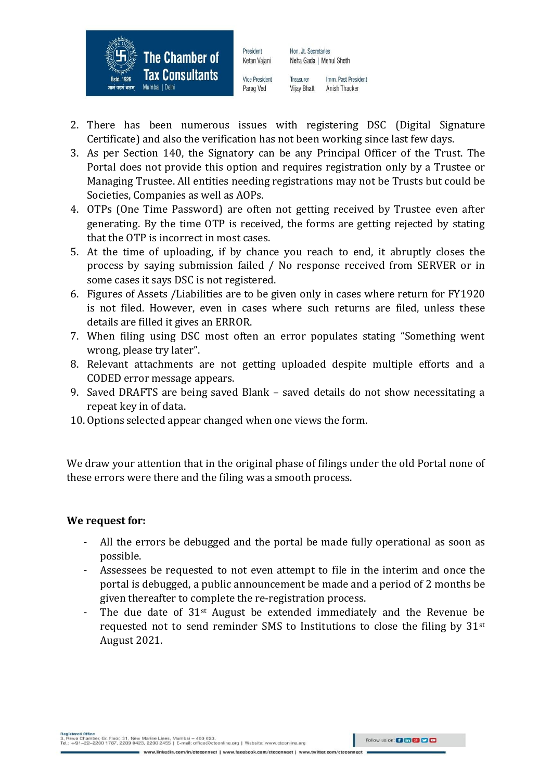

Hon, Jt. Secretaries Neha Gada | Mehul Sheth

Vice President Parag Ved

President

Ketan Vaiani

Treasurer Imm Past President **Vijay Bhatt** Anish Thacker

- 2. There has been numerous issues with registering DSC (Digital Signature Certificate) and also the verification has not been working since last few days.
- 3. As per Section 140, the Signatory can be any Principal Officer of the Trust. The Portal does not provide this option and requires registration only by a Trustee or Managing Trustee. All entities needing registrations may not be Trusts but could be Societies, Companies as well as AOPs.
- 4. OTPs (One Time Password) are often not getting received by Trustee even after generating. By the time OTP is received, the forms are getting rejected by stating that the OTP is incorrect in most cases.
- 5. At the time of uploading, if by chance you reach to end, it abruptly closes the process by saying submission failed / No response received from SERVER or in some cases it says DSC is not registered.
- 6. Figures of Assets /Liabilities are to be given only in cases where return for FY1920 is not filed. However, even in cases where such returns are filed, unless these details are filled it gives an ERROR.
- 7. When filing using DSC most often an error populates stating "Something went wrong, please try later".
- 8. Relevant attachments are not getting uploaded despite multiple efforts and a CODED error message appears.
- 9. Saved DRAFTS are being saved Blank saved details do not show necessitating a repeat key in of data.
- 10. Options selected appear changed when one views the form.

We draw your attention that in the original phase of filings under the old Portal none of these errors were there and the filing was a smooth process.

### **We request for:**

- All the errors be debugged and the portal be made fully operational as soon as possible.
- Assessees be requested to not even attempt to file in the interim and once the portal is debugged, a public announcement be made and a period of 2 months be given thereafter to complete the re-registration process.
- The due date of  $31<sup>st</sup>$  August be extended immediately and the Revenue be requested not to send reminder SMS to Institutions to close the filing by  $31<sup>st</sup>$ August 2021.

ww.twitter.com/ctcconnect